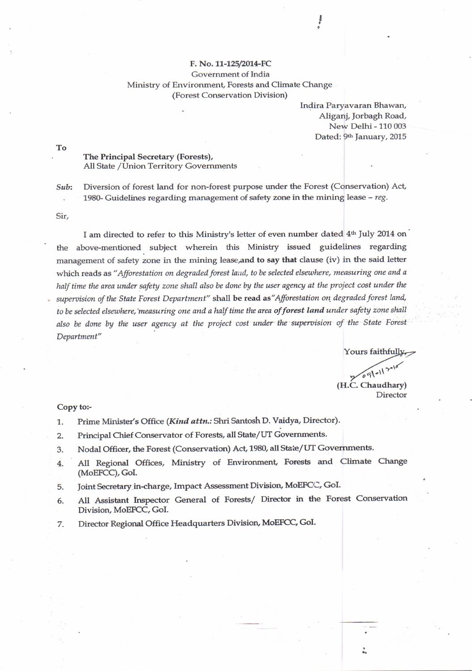## F. No. 11-125/2014-FC Government of India Ministry of Environment, Forests and Climate Change (Forest Conservation Division)

Indira Paryavaran Bhawan, Aliganj, Jorbagh Road, New Delhi - 110 003 Dated: 9th January, 2015

 $\begin{array}{c}\n0 \\
\circ \\
\bullet \\
\bullet\n\end{array}$ 

To

## The Principal Secretary (Forests), All State / Union Territory Governments

Diversion of forest land for non-forest purpose under the Forest (Conservation) Act, Sub: 1980- Guidelines regarding management of safety zone in the mining lease - reg.

Sir,

I am directed to refer to this Ministry's letter of even number dated 4<sup>th</sup> July 2014 on above-mentioned subject wherein this Ministry issued guidelines regarding the management of safety zone in the mining lease, and to say that clause (iv) in the said letter which reads as "Afforestation on degraded forest land, to be selected elsewhere, measuring one and a half time the area under safety zone shall also be done by the user agency at the project cost under the supervision of the State Forest Department" shall be read as "Afforestation on degraded forest land, to be selected elsewhere, measuring one and a half time the area of forest land under safety zone shall also be done by the user agency at the project cost under the supervision of the State Forest Department"

Yours faithfully

 $091017$ (H.C. Chaudhary)

Director

## Copy to:-

- Prime Minister's Office (Kind attn.: Shri Santosh D. Vaidya, Director). 1.
- Principal Chief Conservator of Forests, all State/UT Governments.  $2.$
- Nodal Officer, the Forest (Conservation) Act, 1980, all State/UT Governments. 3.
- All Regional Offices, Ministry of Environment, Forests and Climate Change  $4.$ (MoEFCC), GoI.
- Joint Secretary in-charge, Impact Assessment Division, MoEFCC, GoI. 5.
- All Assistant Inspector General of Forests/ Director in the Forest Conservation 6. Division, MoEFCC, GoI.
- Director Regional Office Headquarters Division, MoEFCC, GoI. 7.